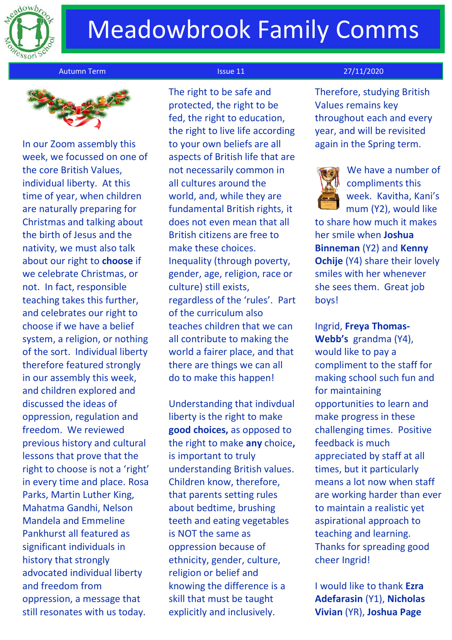

# Meadowbrook Family Comms



In our Zoom assembly this week, we focussed on one of the core British Values, individual liberty. At this time of year, when children are naturally preparing for Christmas and talking about the birth of Jesus and the nativity, we must also talk about our right to **choose** if we celebrate Christmas, or not. In fact, responsible teaching takes this further, and celebrates our right to choose if we have a belief system, a religion, or nothing of the sort. Individual liberty therefore featured strongly in our assembly this week, and children explored and discussed the ideas of oppression, regulation and freedom. We reviewed previous history and cultural lessons that prove that the right to choose is not a 'right' in every time and place. Rosa Parks, Martin Luther King, Mahatma Gandhi, Nelson Mandela and Emmeline Pankhurst all featured as significant individuals in history that strongly advocated individual liberty and freedom from oppression, a message that still resonates with us today.

 The right to be safe and protected, the right to be fed, the right to education, the right to live life according to your own beliefs are all aspects of British life that are not necessarily common in all cultures around the world, and, while they are fundamental British rights, it does not even mean that all British citizens are free to make these choices. Inequality (through poverty, gender, age, religion, race or culture) still exists, regardless of the 'rules'. Part of the curriculum also teaches children that we can all contribute to making the world a fairer place, and that there are things we can all do to make this happen!

Understanding that indivdual liberty is the right to make **good choices,** as opposed to the right to make **any** choice**,**  is important to truly understanding British values. Children know, therefore, that parents setting rules about bedtime, brushing teeth and eating vegetables is NOT the same as oppression because of ethnicity, gender, culture, religion or belief and knowing the difference is a skill that must be taught explicitly and inclusively.

## autumn Term Issue 11 27/11/2020

Therefore, studying British Values remains key throughout each and every year, and will be revisited again in the Spring term.



We have a number of compliments this week. Kavitha, Kani's mum (Y2), would like

to share how much it makes her smile when **Joshua Binneman** (Y2) and **Kenny Ochije** (Y4) share their lovely smiles with her whenever she sees them. Great job boys!

Ingrid, **Freya Thomas-Webb's** grandma (Y4), would like to pay a compliment to the staff for making school such fun and for maintaining opportunities to learn and make progress in these challenging times. Positive feedback is much appreciated by staff at all times, but it particularly means a lot now when staff are working harder than ever to maintain a realistic yet aspirational approach to teaching and learning. Thanks for spreading good cheer Ingrid!

I would like to thank **Ezra Adefarasin** (Y1), **Nicholas Vivian** (YR), **Joshua Page**